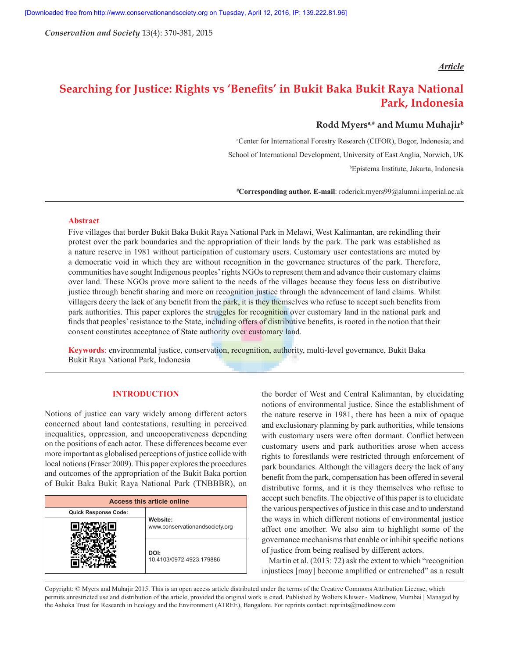*Conservation and Society* 13(4): 370-381, 2015

## *Article*

# **Searching for Justice: Rights vs 'Benefits' in Bukit Baka Bukit Raya National Park, Indonesia**

# **Rodd Myersa,# and Mumu Muhajirb**

a Center for International Forestry Research (CIFOR), Bogor, Indonesia; and School of International Development, University of East Anglia, Norwich, UK b Epistema Institute, Jakarta, Indonesia

**# Corresponding author. E-mail**: roderick.myers99@alumni.imperial.ac.uk

## **Abstract**

Five villages that border Bukit Baka Bukit Raya National Park in Melawi, West Kalimantan, are rekindling their protest over the park boundaries and the appropriation of their lands by the park. The park was established as a nature reserve in 1981 without participation of customary users. Customary user contestations are muted by a democratic void in which they are without recognition in the governance structures of the park. Therefore, communities have sought Indigenous peoples' rights NGOs to represent them and advance their customary claims over land. These NGOs prove more salient to the needs of the villages because they focus less on distributive justice through benefit sharing and more on recognition justice through the advancement of land claims. Whilst villagers decry the lack of any benefit from the park, it is they themselves who refuse to accept such benefits from park authorities. This paper explores the struggles for recognition over customary land in the national park and finds that peoples' resistance to the State, including offers of distributive benefits, is rooted in the notion that their consent constitutes acceptance of State authority over customary land.

**Keywords**: environmental justice, conservation, recognition, authority, multi-level governance, Bukit Baka Bukit Raya National Park, Indonesia

## **INTRODUCTION**

Notions of justice can vary widely among different actors concerned about land contestations, resulting in perceived inequalities, oppression, and uncooperativeness depending on the positions of each actor. These differences become ever more important as globalised perceptions of justice collide with local notions (Fraser 2009). This paper explores the procedures and outcomes of the appropriation of the Bukit Baka portion of Bukit Baka Bukit Raya National Park (TNBBBR), on

| <b>Access this article online</b> |                                            |
|-----------------------------------|--------------------------------------------|
| <b>Quick Response Code:</b>       | Website:<br>www.conservationandsociety.org |
|                                   |                                            |
|                                   | DOI:<br>10.4103/0972-4923.179886           |

the border of West and Central Kalimantan, by elucidating notions of environmental justice. Since the establishment of the nature reserve in 1981, there has been a mix of opaque and exclusionary planning by park authorities, while tensions with customary users were often dormant. Conflict between customary users and park authorities arose when access rights to forestlands were restricted through enforcement of park boundaries. Although the villagers decry the lack of any benefit from the park, compensation has been offered in several distributive forms, and it is they themselves who refuse to accept such benefits. The objective of this paper is to elucidate the various perspectives of justice in this case and to understand the ways in which different notions of environmental justice affect one another. We also aim to highlight some of the governance mechanisms that enable or inhibit specific notions of justice from being realised by different actors.

Martin et al. (2013: 72) ask the extent to which "recognition injustices [may] become amplified or entrenched" as a result

Copyright: © Myers and Muhajir 2015. This is an open access article distributed under the terms of the Creative Commons Attribution License, which permits unrestricted use and distribution of the article, provided the original work is cited. Published by Wolters Kluwer - Medknow, Mumbai | Managed by the Ashoka Trust for Research in Ecology and the Environment (ATREE), Bangalore. For reprints contact: reprints@medknow.com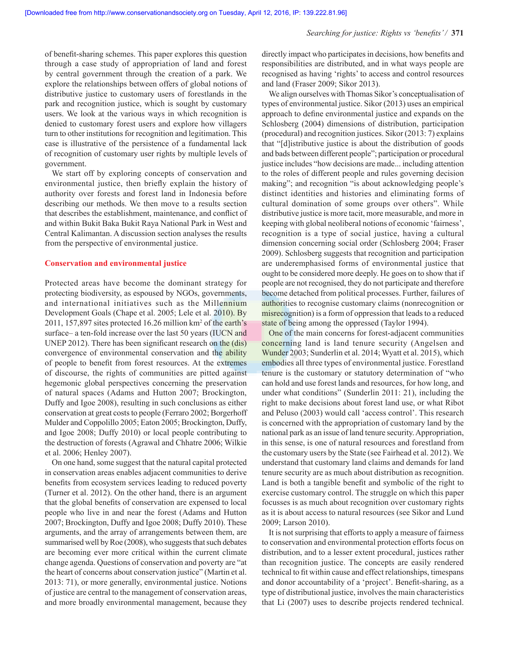of benefit-sharing schemes. This paper explores this question through a case study of appropriation of land and forest by central government through the creation of a park. We explore the relationships between offers of global notions of distributive justice to customary users of forestlands in the park and recognition justice, which is sought by customary users. We look at the various ways in which recognition is denied to customary forest users and explore how villagers turn to other institutions for recognition and legitimation. This case is illustrative of the persistence of a fundamental lack of recognition of customary user rights by multiple levels of government.

We start off by exploring concepts of conservation and environmental justice, then briefly explain the history of authority over forests and forest land in Indonesia before describing our methods. We then move to a results section that describes the establishment, maintenance, and conflict of and within Bukit Baka Bukit Raya National Park in West and Central Kalimantan. A discussion section analyses the results from the perspective of environmental justice.

#### **Conservation and environmental justice**

Protected areas have become the dominant strategy for protecting biodiversity, as espoused by NGOs, governments, and international initiatives such as the Millennium Development Goals (Chape et al. 2005; Lele et al. 2010). By 2011, 157,897 sites protected 16.26 million km<sup>2</sup> of the earth's surface– a ten-fold increase over the last 50 years (IUCN and UNEP 2012). There has been significant research on the (dis) convergence of environmental conservation and the ability of people to benefit from forest resources. At the extremes of discourse, the rights of communities are pitted against hegemonic global perspectives concerning the preservation of natural spaces (Adams and Hutton 2007; Brockington, Duffy and Igoe 2008), resulting in such conclusions as either conservation at great costs to people (Ferraro 2002; Borgerhoff Mulder and Coppolillo 2005; Eaton 2005; Brockington, Duffy, and Igoe 2008; Duffy 2010) or local people contributing to the destruction of forests (Agrawal and Chhatre 2006; Wilkie et al. 2006; Henley 2007).

On one hand, some suggest that the natural capital protected in conservation areas enables adjacent communities to derive benefits from ecosystem services leading to reduced poverty (Turner et al. 2012). On the other hand, there is an argument that the global benefits of conservation are expensed to local people who live in and near the forest (Adams and Hutton 2007; Brockington, Duffy and Igoe 2008; Duffy 2010). These arguments, and the array of arrangements between them, are summarised well by Roe (2008), who suggests that such debates are becoming ever more critical within the current climate change agenda. Questions of conservation and poverty are "at the heart of concerns about conservation justice" (Martin et al. 2013: 71), or more generally, environmental justice. Notions of justice are central to the management of conservation areas, and more broadly environmental management, because they directly impact who participates in decisions, how benefits and responsibilities are distributed, and in what ways people are recognised as having 'rights' to access and control resources and land (Fraser 2009; Sikor 2013).

We align ourselves with Thomas Sikor's conceptualisation of types of environmental justice. Sikor (2013) uses an empirical approach to define environmental justice and expands on the Schlosberg (2004) dimensions of distribution, participation (procedural) and recognition justices. Sikor (2013: 7) explains that "[d]istributive justice is about the distribution of goods and bads between different people"; participation or procedural justice includes "how decisions are made... including attention to the roles of different people and rules governing decision making"; and recognition "is about acknowledging people's distinct identities and histories and eliminating forms of cultural domination of some groups over others". While distributive justice is more tacit, more measurable, and more in keeping with global neoliberal notions of economic 'fairness', recognition is a type of social justice, having a cultural dimension concerning social order (Schlosberg 2004; Fraser 2009). Schlosberg suggests that recognition and participation are underemphasised forms of environmental justice that ought to be considered more deeply. He goes on to show that if people are not recognised, they do not participate and therefore become detached from political processes. Further, failures of authorities to recognise customary claims (nonrecognition or misrecognition) is a form of oppression that leads to a reduced state of being among the oppressed (Taylor 1994).

One of the main concerns for forest-adjacent communities concerning land is land tenure security (Angelsen and Wunder 2003; Sunderlin et al. 2014; Wyatt et al. 2015), which embodies all three types of environmental justice. Forestland tenure is the customary or statutory determination of "who can hold and use forest lands and resources, for how long, and under what conditions" (Sunderlin 2011: 21), including the right to make decisions about forest land use, or what Ribot and Peluso (2003) would call 'access control'. This research is concerned with the appropriation of customary land by the national park as an issue of land tenure security. Appropriation, in this sense, is one of natural resources and forestland from the customary users by the State (see Fairhead et al. 2012). We understand that customary land claims and demands for land tenure security are as much about distribution as recognition. Land is both a tangible benefit and symbolic of the right to exercise customary control. The struggle on which this paper focusses is as much about recognition over customary rights as it is about access to natural resources (see Sikor and Lund 2009; Larson 2010).

It is not surprising that efforts to apply a measure of fairness to conservation and environmental protection efforts focus on distribution, and to a lesser extent procedural, justices rather than recognition justice. The concepts are easily rendered technical to fit within cause and effect relationships, timespans and donor accountability of a 'project'. Benefit-sharing, as a type of distributional justice, involves the main characteristics that Li (2007) uses to describe projects rendered technical.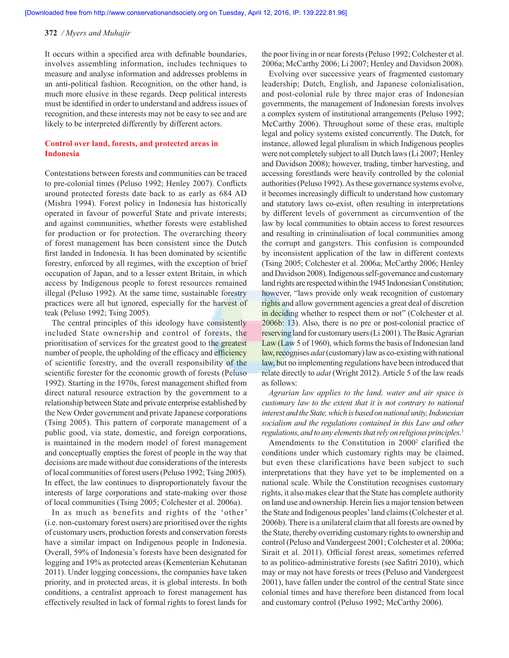It occurs within a specified area with definable boundaries, involves assembling information, includes techniques to measure and analyse information and addresses problems in an anti-political fashion. Recognition, on the other hand, is much more elusive in these regards. Deep political interests must be identified in order to understand and address issues of recognition, and these interests may not be easy to see and are likely to be interpreted differently by different actors.

## **Control over land, forests, and protected areas in Indonesia**

Contestations between forests and communities can be traced to pre-colonial times (Peluso 1992; Henley 2007). Conflicts around protected forests date back to as early as 684 AD (Mishra 1994). Forest policy in Indonesia has historically operated in favour of powerful State and private interests; and against communities, whether forests were established for production or for protection. The overarching theory of forest management has been consistent since the Dutch first landed in Indonesia. It has been dominated by scientific forestry, enforced by all regimes, with the exception of brief occupation of Japan, and to a lesser extent Britain, in which access by Indigenous people to forest resources remained illegal (Peluso 1992). At the same time, sustainable forestry practices were all but ignored, especially for the harvest of teak (Peluso 1992; Tsing 2005).

The central principles of this ideology have consistently included State ownership and control of forests, the prioritisation of services for the greatest good to the greatest number of people, the upholding of the efficacy and efficiency of scientific forestry, and the overall responsibility of the scientific forester for the economic growth of forests (Peluso 1992). Starting in the 1970s, forest management shifted from direct natural resource extraction by the government to a relationship between State and private enterprise established by the New Order government and private Japanese corporations (Tsing 2005). This pattern of corporate management of a public good, via state, domestic, and foreign corporations, is maintained in the modern model of forest management and conceptually empties the forest of people in the way that decisions are made without due considerations of the interests of local communities of forest users (Peluso 1992; Tsing 2005). In effect, the law continues to disproportionately favour the interests of large corporations and state-making over those of local communities (Tsing 2005; Colchester et al. 2006a).

In as much as benefits and rights of the 'other' (i.e. non-customary forest users) are prioritised over the rights of customary users, production forests and conservation forests have a similar impact on Indigenous people in Indonesia. Overall, 59% of Indonesia's forests have been designated for logging and 19% as protected areas (Kementerian Kehutanan 2011). Under logging concessions, the companies have taken priority, and in protected areas, it is global interests. In both conditions, a centralist approach to forest management has effectively resulted in lack of formal rights to forest lands for the poor living in or near forests (Peluso 1992; Colchester et al. 2006a; McCarthy 2006; Li 2007; Henley and Davidson 2008).

Evolving over successive years of fragmented customary leadership; Dutch, English, and Japanese colonialisation, and post-colonial rule by three major eras of Indonesian governments, the management of Indonesian forests involves a complex system of institutional arrangements (Peluso 1992; McCarthy 2006). Throughout some of these eras, multiple legal and policy systems existed concurrently. The Dutch, for instance, allowed legal pluralism in which Indigenous peoples were not completely subject to all Dutch laws (Li 2007; Henley and Davidson 2008); however, trading, timber harvesting, and accessing forestlands were heavily controlled by the colonial authorities (Peluso 1992). As these governance systems evolve, it becomes increasingly difficult to understand how customary and statutory laws co-exist, often resulting in interpretations by different levels of government as circumvention of the law by local communities to obtain access to forest resources and resulting in criminalisation of local communities among the corrupt and gangsters. This confusion is compounded by inconsistent application of the law in different contexts (Tsing 2005; Colchester et al. 2006a; McCarthy 2006; Henley and Davidson 2008). Indigenous self-governance and customary land rights are respected within the 1945 Indonesian Constitution; however, "laws provide only weak recognition of customary rights and allow government agencies a great deal of discretion in deciding whether to respect them or not" (Colchester et al. 2006b: 13). Also, there is no pre or post-colonial practice of reserving land for customary users (Li 2001). The Basic Agrarian Law (Law 5 of 1960), which forms the basis of Indonesian land law, recognises *adat* (customary) law as co-existing with national law, but no implementing regulations have been introduced that relate directly to *adat* (Wright 2012). Article 5 of the law reads as follows:

*Agrarian law applies to the land, water and air space is customary law to the extent that it is not contrary to national interest and the State, which is based on national unity, Indonesian socialism and the regulations contained in this Law and other regulations, and to any elements that rely on religious principles.*<sup>1</sup>

Amendments to the Constitution in 2000<sup>2</sup> clarified the conditions under which customary rights may be claimed, but even these clarifications have been subject to such interpretations that they have yet to be implemented on a national scale. While the Constitution recognises customary rights, it also makes clear that the State has complete authority on land use and ownership. Herein lies a major tension between the State and Indigenous peoples' land claims (Colchester et al. 2006b). There is a unilateral claim that all forests are owned by the State, thereby overriding customary rights to ownership and control (Peluso and Vandergeest 2001; Colchester et al. 2006a; Sirait et al. 2011). Official forest areas, sometimes referred to as politico-administrative forests (see Safitri 2010), which may or may not have forests or trees (Peluso and Vandergeest 2001), have fallen under the control of the central State since colonial times and have therefore been distanced from local and customary control (Peluso 1992; McCarthy 2006).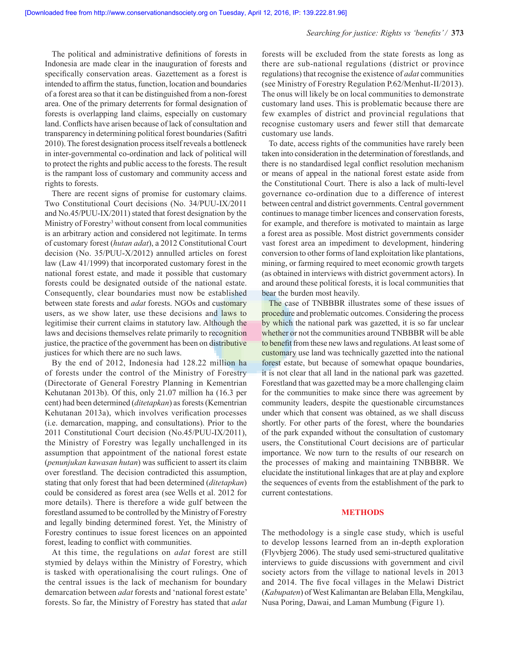#### *Searching for justice: Rights vs 'benefits' /* **373**

The political and administrative definitions of forests in Indonesia are made clear in the inauguration of forests and specifically conservation areas. Gazettement as a forest is intended to affirm the status, function, location and boundaries of a forest area so that it can be distinguished from a non-forest area. One of the primary deterrents for formal designation of forests is overlapping land claims, especially on customary land. Conflicts have arisen because of lack of consultation and transparency in determining political forest boundaries (Safitri 2010). The forest designation process itself reveals a bottleneck in inter-governmental co-ordination and lack of political will to protect the rights and public access to the forests. The result is the rampant loss of customary and community access and rights to forests.

There are recent signs of promise for customary claims. Two Constitutional Court decisions (No. 34/PUU-IX/2011 and No.45/PUU-IX/2011) stated that forest designation by the Ministry of Forestry<sup>3</sup> without consent from local communities is an arbitrary action and considered not legitimate. In terms of customary forest (*hutan adat*), a 2012 Constitutional Court decision (No. 35/PUU-X/2012) annulled articles on forest law (Law 41/1999) that incorporated customary forest in the national forest estate, and made it possible that customary forests could be designated outside of the national estate. Consequently, clear boundaries must now be established between state forests and *adat* forests. NGOs and customary users, as we show later, use these decisions and laws to legitimise their current claims in statutory law. Although the laws and decisions themselves relate primarily to recognition justice, the practice of the government has been on distributive justices for which there are no such laws.

By the end of 2012, Indonesia had 128.22 million ha of forests under the control of the Ministry of Forestry (Directorate of General Forestry Planning in Kementrian Kehutanan 2013b). Of this, only 21.07 million ha (16.3 per cent) had been determined (*ditetapkan*) as forests (Kementrian Kehutanan 2013a), which involves verification processes (i.e. demarcation, mapping, and consultations). Prior to the 2011 Constitutional Court decision (No.45/PUU-IX/2011), the Ministry of Forestry was legally unchallenged in its assumption that appointment of the national forest estate (*penunjukan kawasan hutan*) was sufficient to assert its claim over forestland. The decision contradicted this assumption, stating that only forest that had been determined (*ditetapkan*) could be considered as forest area (see Wells et al. 2012 for more details). There is therefore a wide gulf between the forestland assumed to be controlled by the Ministry of Forestry and legally binding determined forest. Yet, the Ministry of Forestry continues to issue forest licences on an appointed forest, leading to conflict with communities.

At this time, the regulations on *adat* forest are still stymied by delays within the Ministry of Forestry, which is tasked with operationalising the court rulings. One of the central issues is the lack of mechanism for boundary demarcation between *adat* forests and 'national forest estate' forests. So far, the Ministry of Forestry has stated that *adat*  forests will be excluded from the state forests as long as there are sub-national regulations (district or province regulations) that recognise the existence of *adat* communities (see Ministry of Forestry Regulation P.62/Menhut-II/2013). The onus will likely be on local communities to demonstrate customary land uses. This is problematic because there are few examples of district and provincial regulations that recognise customary users and fewer still that demarcate customary use lands.

To date, access rights of the communities have rarely been taken into consideration in the determination of forestlands, and there is no standardised legal conflict resolution mechanism or means of appeal in the national forest estate aside from the Constitutional Court. There is also a lack of multi-level governance co-ordination due to a difference of interest between central and district governments. Central government continues to manage timber licences and conservation forests, for example, and therefore is motivated to maintain as large a forest area as possible. Most district governments consider vast forest area an impediment to development, hindering conversion to other forms of land exploitation like plantations, mining, or farming required to meet economic growth targets (as obtained in interviews with district government actors). In and around these political forests, it is local communities that bear the burden most heavily.

The case of TNBBBR illustrates some of these issues of procedure and problematic outcomes. Considering the process by which the national park was gazetted, it is so far unclear whether or not the communities around TNBBBR will be able to benefit from these new laws and regulations. At least some of customary use land was technically gazetted into the national forest estate, but because of somewhat opaque boundaries, it is not clear that all land in the national park was gazetted. Forestland that was gazetted may be a more challenging claim for the communities to make since there was agreement by community leaders, despite the questionable circumstances under which that consent was obtained, as we shall discuss shortly. For other parts of the forest, where the boundaries of the park expanded without the consultation of customary users, the Constitutional Court decisions are of particular importance. We now turn to the results of our research on the processes of making and maintaining TNBBBR. We elucidate the institutional linkages that are at play and explore the sequences of events from the establishment of the park to current contestations.

#### **METHODS**

The methodology is a single case study, which is useful to develop lessons learned from an in-depth exploration (Flyvbjerg 2006). The study used semi-structured qualitative interviews to guide discussions with government and civil society actors from the village to national levels in 2013 and 2014. The five focal villages in the Melawi District (*Kabupaten*) of West Kalimantan are Belaban Ella, Mengkilau, Nusa Poring, Dawai, and Laman Mumbung (Figure 1).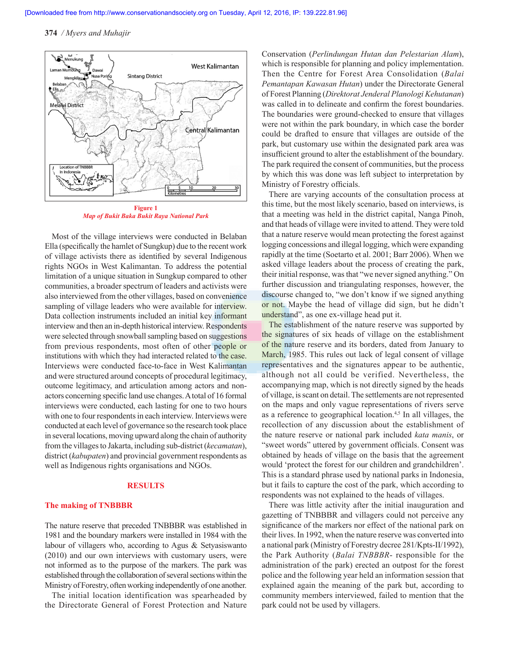

**Figure 1** *Map of Bukit Baka Bukit Raya National Park*

Most of the village interviews were conducted in Belaban Ella (specifically the hamlet of Sungkup) due to the recent work of village activists there as identified by several Indigenous rights NGOs in West Kalimantan. To address the potential limitation of a unique situation in Sungkup compared to other communities, a broader spectrum of leaders and activists were also interviewed from the other villages, based on convenience sampling of village leaders who were available for interview. Data collection instruments included an initial key informant interview and then an in-depth historical interview. Respondents were selected through snowball sampling based on suggestions from previous respondents, most often of other people or institutions with which they had interacted related to the case. Interviews were conducted face-to-face in West Kalimantan and were structured around concepts of procedural legitimacy, outcome legitimacy, and articulation among actors and nonactors concerning specific land use changes. A total of 16 formal interviews were conducted, each lasting for one to two hours with one to four respondents in each interview. Interviews were conducted at each level of governance so the research took place in several locations, moving upward along the chain of authority from the villages to Jakarta, including sub-district (*kecamatan*), district (*kabupaten*) and provincial government respondents as well as Indigenous rights organisations and NGOs.

## **RESULTS**

## **The making of TNBBBR**

The nature reserve that preceded TNBBBR was established in 1981 and the boundary markers were installed in 1984 with the labour of villagers who, according to Agus & Setyasiswanto (2010) and our own interviews with customary users, were not informed as to the purpose of the markers. The park was established through the collaboration of several sections within the Ministry of Forestry, often working independently of one another.

The initial location identification was spearheaded by the Directorate General of Forest Protection and Nature Conservation (*Perlindungan Hutan dan Pelestarian Alam*), which is responsible for planning and policy implementation. Then the Centre for Forest Area Consolidation (*Balai Pemantapan Kawasan Hutan*) under the Directorate General of Forest Planning (*Direktorat Jenderal Planologi Kehutanan*) was called in to delineate and confirm the forest boundaries. The boundaries were ground-checked to ensure that villages were not within the park boundary, in which case the border could be drafted to ensure that villages are outside of the park, but customary use within the designated park area was insufficient ground to alter the establishment of the boundary. The park required the consent of communities, but the process by which this was done was left subject to interpretation by Ministry of Forestry officials.

There are varying accounts of the consultation process at this time, but the most likely scenario, based on interviews, is that a meeting was held in the district capital, Nanga Pinoh, and that heads of village were invited to attend. They were told that a nature reserve would mean protecting the forest against logging concessions and illegal logging, which were expanding rapidly at the time (Soetarto et al. 2001; Barr 2006). When we asked village leaders about the process of creating the park, their initial response, was that "we never signed anything." On further discussion and triangulating responses, however, the discourse changed to, "we don't know if we signed anything or not. Maybe the head of village did sign, but he didn't understand", as one ex-village head put it.

The establishment of the nature reserve was supported by the signatures of six heads of village on the establishment of the nature reserve and its borders, dated from January to March, 1985. This rules out lack of legal consent of village representatives and the signatures appear to be authentic, although not all could be verified. Nevertheless, the accompanying map, which is not directly signed by the heads of village, is scant on detail. The settlements are not represented on the maps and only vague representations of rivers serve as a reference to geographical location.4,5 In all villages, the recollection of any discussion about the establishment of the nature reserve or national park included *kata manis*, or "sweet words" uttered by government officials. Consent was obtained by heads of village on the basis that the agreement would 'protect the forest for our children and grandchildren'. This is a standard phrase used by national parks in Indonesia, but it fails to capture the cost of the park, which according to respondents was not explained to the heads of villages.

There was little activity after the initial inauguration and gazetting of TNBBBR and villagers could not perceive any significance of the markers nor effect of the national park on their lives. In 1992, when the nature reserve was converted into a national park (Ministry of Forestry decree 281/Kpts-II/1992), the Park Authority (*Balai TNBBBR*- responsible for the administration of the park) erected an outpost for the forest police and the following year held an information session that explained again the meaning of the park but, according to community members interviewed, failed to mention that the park could not be used by villagers.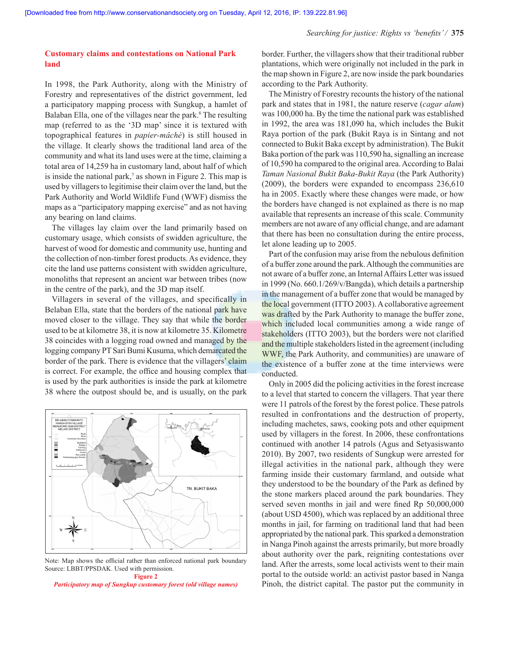## **Customary claims and contestations on National Park land**

In 1998, the Park Authority, along with the Ministry of Forestry and representatives of the district government, led a participatory mapping process with Sungkup, a hamlet of Balaban Ella, one of the villages near the park.<sup>6</sup> The resulting map (referred to as the '3D map' since it is textured with topographical features in *papier-mâché*) is still housed in the village. It clearly shows the traditional land area of the community and what its land uses were at the time, claiming a total area of 14,259 ha in customary land, about half of which is inside the national park,<sup> $7$ </sup> as shown in Figure 2. This map is used by villagers to legitimise their claim over the land, but the Park Authority and World Wildlife Fund (WWF) dismiss the maps as a "participatory mapping exercise" and as not having any bearing on land claims.

The villages lay claim over the land primarily based on customary usage, which consists of swidden agriculture, the harvest of wood for domestic and community use, hunting and the collection of non-timber forest products. As evidence, they cite the land use patterns consistent with swidden agriculture, monoliths that represent an ancient war between tribes (now in the centre of the park), and the 3D map itself.

Villagers in several of the villages, and specifically in Belaban Ella, state that the borders of the national park have moved closer to the village. They say that while the border used to be at kilometre 38, it is now at kilometre 35. Kilometre 38 coincides with a logging road owned and managed by the logging company PT Sari Bumi Kusuma, which demarcated the border of the park. There is evidence that the villagers' claim is correct. For example, the office and housing complex that is used by the park authorities is inside the park at kilometre 38 where the outpost should be, and is usually, on the park



Note: Map shows the official rather than enforced national park boundary Source: LBBT/PPSDAK. Used with permission. **Figure 2**

*Participatory map of Sungkup customary forest (old village names)*

border. Further, the villagers show that their traditional rubber plantations, which were originally not included in the park in the map shown in Figure 2, are now inside the park boundaries according to the Park Authority.

The Ministry of Forestry recounts the history of the national park and states that in 1981, the nature reserve (*cagar alam*) was 100,000 ha. By the time the national park was established in 1992, the area was 181,090 ha, which includes the Bukit Raya portion of the park (Bukit Raya is in Sintang and not connected to Bukit Baka except by administration). The Bukit Baka portion of the park was 110,590 ha, signalling an increase of 10,590 ha compared to the original area. According to Balai *Taman Nasional Bukit Baka-Bukit Raya* (the Park Authority) (2009), the borders were expanded to encompass 236,610 ha in 2005. Exactly where these changes were made, or how the borders have changed is not explained as there is no map available that represents an increase of this scale. Community members are not aware of any official change, and are adamant that there has been no consultation during the entire process, let alone leading up to 2005.

Part of the confusion may arise from the nebulous definition of a buffer zone around the park. Although the communities are not aware of a buffer zone, an Internal Affairs Letter was issued in 1999 (No. 660.1/269/v/Bangda), which details a partnership in the management of a buffer zone that would be managed by the local government (ITTO 2003). A collaborative agreement was drafted by the Park Authority to manage the buffer zone, which included local communities among a wide range of stakeholders (ITTO 2003), but the borders were not clarified and the multiple stakeholders listed in the agreement (including WWF, the Park Authority, and communities) are unaware of the existence of a buffer zone at the time interviews were conducted.

Only in 2005 did the policing activities in the forest increase to a level that started to concern the villagers. That year there were 11 patrols of the forest by the forest police. These patrols resulted in confrontations and the destruction of property, including machetes, saws, cooking pots and other equipment used by villagers in the forest. In 2006, these confrontations continued with another 14 patrols (Agus and Setyasiswanto 2010). By 2007, two residents of Sungkup were arrested for illegal activities in the national park, although they were farming inside their customary farmland, and outside what they understood to be the boundary of the Park as defined by the stone markers placed around the park boundaries. They served seven months in jail and were fined Rp 50,000,000 (about USD 4500), which was replaced by an additional three months in jail, for farming on traditional land that had been appropriated by the national park. This sparked a demonstration in Nanga Pinoh against the arrests primarily, but more broadly about authority over the park, reigniting contestations over land. After the arrests, some local activists went to their main portal to the outside world: an activist pastor based in Nanga Pinoh, the district capital. The pastor put the community in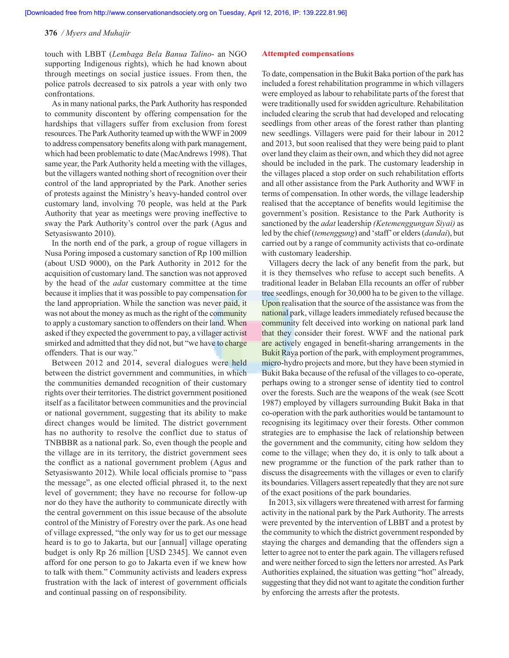touch with LBBT (*Lembaga Bela Banua Talino*- an NGO supporting Indigenous rights), which he had known about through meetings on social justice issues. From then, the police patrols decreased to six patrols a year with only two confrontations.

As in many national parks, the Park Authority has responded to community discontent by offering compensation for the hardships that villagers suffer from exclusion from forest resources. The Park Authority teamed up with the WWF in 2009 to address compensatory benefits along with park management, which had been problematic to date (MacAndrews 1998). That same year, the Park Authority held a meeting with the villages, but the villagers wanted nothing short of recognition over their control of the land appropriated by the Park. Another series of protests against the Ministry's heavy-handed control over customary land, involving 70 people, was held at the Park Authority that year as meetings were proving ineffective to sway the Park Authority's control over the park (Agus and Setyasiswanto 2010).

In the north end of the park, a group of rogue villagers in Nusa Poring imposed a customary sanction of Rp 100 million (about USD 9000), on the Park Authority in 2012 for the acquisition of customary land. The sanction was not approved by the head of the *adat* customary committee at the time because it implies that it was possible to pay compensation for the land appropriation. While the sanction was never paid, it was not about the money as much as the right of the community to apply a customary sanction to offenders on their land. When asked if they expected the government to pay, a villager activist smirked and admitted that they did not, but "we have to charge offenders. That is our way."

Between 2012 and 2014, several dialogues were held between the district government and communities, in which the communities demanded recognition of their customary rights over their territories. The district government positioned itself as a facilitator between communities and the provincial or national government, suggesting that its ability to make direct changes would be limited. The district government has no authority to resolve the conflict due to status of TNBBBR as a national park. So, even though the people and the village are in its territory, the district government sees the conflict as a national government problem (Agus and Setyasiswanto 2012). While local officials promise to "pass the message", as one elected official phrased it, to the next level of government; they have no recourse for follow-up nor do they have the authority to communicate directly with the central government on this issue because of the absolute control of the Ministry of Forestry over the park. As one head of village expressed, "the only way for us to get our message heard is to go to Jakarta, but our [annual] village operating budget is only Rp 26 million [USD 2345]. We cannot even afford for one person to go to Jakarta even if we knew how to talk with them." Community activists and leaders express frustration with the lack of interest of government officials and continual passing on of responsibility.

#### **Attempted compensations**

To date, compensation in the Bukit Baka portion of the park has included a forest rehabilitation programme in which villagers were employed as labour to rehabilitate parts of the forest that were traditionally used for swidden agriculture. Rehabilitation included clearing the scrub that had developed and relocating seedlings from other areas of the forest rather than planting new seedlings. Villagers were paid for their labour in 2012 and 2013, but soon realised that they were being paid to plant over land they claim as their own, and which they did not agree should be included in the park. The customary leadership in the villages placed a stop order on such rehabilitation efforts and all other assistance from the Park Authority and WWF in terms of compensation. In other words, the village leadership realised that the acceptance of benefits would legitimise the government's position. Resistance to the Park Authority is sanctioned by the *adat* leadership *(Ketemenggungan Siyai)* as led by the chief (*temenggung*) and 'staff' or elders (*dandai*), but carried out by a range of community activists that co-ordinate with customary leadership.

Villagers decry the lack of any benefit from the park, but it is they themselves who refuse to accept such benefits. A traditional leader in Belaban Ella recounts an offer of rubber tree seedlings, enough for 30,000 ha to be given to the village. Upon realisation that the source of the assistance was from the national park, village leaders immediately refused because the community felt deceived into working on national park land that they consider their forest. WWF and the national park are actively engaged in benefit-sharing arrangements in the Bukit Raya portion of the park, with employment programmes, micro-hydro projects and more, but they have been stymied in Bukit Baka because of the refusal of the villages to co-operate, perhaps owing to a stronger sense of identity tied to control over the forests. Such are the weapons of the weak (see Scott 1987) employed by villagers surrounding Bukit Baka in that co-operation with the park authorities would be tantamount to recognising its legitimacy over their forests. Other common strategies are to emphasise the lack of relationship between the government and the community, citing how seldom they come to the village; when they do, it is only to talk about a new programme or the function of the park rather than to discuss the disagreements with the villages or even to clarify its boundaries. Villagers assert repeatedly that they are not sure of the exact positions of the park boundaries.

In 2013, six villagers were threatened with arrest for farming activity in the national park by the Park Authority. The arrests were prevented by the intervention of LBBT and a protest by the community to which the district government responded by staying the charges and demanding that the offenders sign a letter to agree not to enter the park again. The villagers refused and were neither forced to sign the letters nor arrested. As Park Authorities explained, the situation was getting "hot" already, suggesting that they did not want to agitate the condition further by enforcing the arrests after the protests.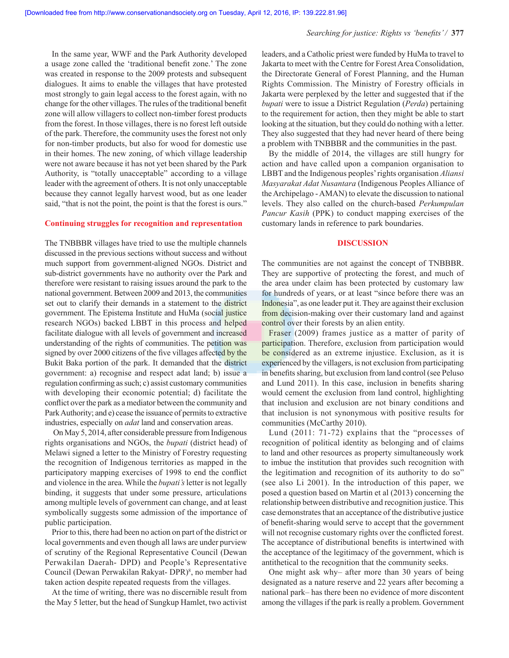In the same year, WWF and the Park Authority developed a usage zone called the 'traditional benefit zone.' The zone was created in response to the 2009 protests and subsequent dialogues. It aims to enable the villages that have protested most strongly to gain legal access to the forest again, with no change for the other villages. The rules of the traditional benefit zone will allow villagers to collect non-timber forest products from the forest. In those villages, there is no forest left outside of the park. Therefore, the community uses the forest not only for non-timber products, but also for wood for domestic use in their homes. The new zoning, of which village leadership were not aware because it has not yet been shared by the Park Authority, is "totally unacceptable" according to a village leader with the agreement of others. It is not only unacceptable because they cannot legally harvest wood, but as one leader said, "that is not the point, the point is that the forest is ours."

## **Continuing struggles for recognition and representation**

The TNBBBR villages have tried to use the multiple channels discussed in the previous sections without success and without much support from government-aligned NGOs. District and sub-district governments have no authority over the Park and therefore were resistant to raising issues around the park to the national government. Between 2009 and 2013, the communities set out to clarify their demands in a statement to the district government. The Epistema Institute and HuMa (social justice research NGOs) backed LBBT in this process and helped facilitate dialogue with all levels of government and increased understanding of the rights of communities. The petition was signed by over 2000 citizens of the five villages affected by the Bukit Baka portion of the park. It demanded that the district government: a) recognise and respect adat land; b) issue a regulation confirming as such; c) assist customary communities with developing their economic potential; d) facilitate the conflict over the park as a mediator between the community and Park Authority; and e) cease the issuance of permits to extractive industries, especially on *adat* land and conservation areas.

 On May 5, 2014, after considerable pressure from Indigenous rights organisations and NGOs, the *bupati* (district head) of Melawi signed a letter to the Ministry of Forestry requesting the recognition of Indigenous territories as mapped in the participatory mapping exercises of 1998 to end the conflict and violence in the area. While the *bupati's* letter is not legally binding, it suggests that under some pressure, articulations among multiple levels of government can change, and at least symbolically suggests some admission of the importance of public participation.

Prior to this, there had been no action on part of the district or local governments and even though all laws are under purview of scrutiny of the Regional Representative Council (Dewan Perwakilan Daerah- DPD) and People's Representative Council (Dewan Perwakilan Rakyat- DPR)<sup>8</sup>, no member had taken action despite repeated requests from the villages.

At the time of writing, there was no discernible result from the May 5 letter, but the head of Sungkup Hamlet, two activist leaders, and a Catholic priest were funded by HuMa to travel to Jakarta to meet with the Centre for Forest Area Consolidation, the Directorate General of Forest Planning, and the Human Rights Commission. The Ministry of Forestry officials in Jakarta were perplexed by the letter and suggested that if the *bupati* were to issue a District Regulation (*Perda*) pertaining to the requirement for action, then they might be able to start looking at the situation, but they could do nothing with a letter. They also suggested that they had never heard of there being a problem with TNBBBR and the communities in the past.

By the middle of 2014, the villages are still hungry for action and have called upon a companion organisation to LBBT and the Indigenous peoples' rights organisation *Aliansi Masyarakat Adat Nusantara* (Indigenous Peoples Alliance of the Archipelago - AMAN) to elevate the discussion to national levels. They also called on the church-based *Perkumpulan Pancur Kasih* (PPK) to conduct mapping exercises of the customary lands in reference to park boundaries.

## **DISCUSSION**

The communities are not against the concept of TNBBBR. They are supportive of protecting the forest, and much of the area under claim has been protected by customary law for hundreds of years, or at least "since before there was an Indonesia", as one leader put it. They are against their exclusion from decision-making over their customary land and against control over their forests by an alien entity.

Fraser (2009) frames justice as a matter of parity of participation. Therefore, exclusion from participation would be considered as an extreme injustice. Exclusion, as it is experienced by the villagers, is not exclusion from participating in benefits sharing, but exclusion from land control (see Peluso and Lund 2011). In this case, inclusion in benefits sharing would cement the exclusion from land control, highlighting that inclusion and exclusion are not binary conditions and that inclusion is not synonymous with positive results for communities (McCarthy 2010).

Lund (2011: 71-72) explains that the "processes of recognition of political identity as belonging and of claims to land and other resources as property simultaneously work to imbue the institution that provides such recognition with the legitimation and recognition of its authority to do so" (see also Li 2001). In the introduction of this paper, we posed a question based on Martin et al (2013) concerning the relationship between distributive and recognition justice. This case demonstrates that an acceptance of the distributive justice of benefit-sharing would serve to accept that the government will not recognise customary rights over the conflicted forest. The acceptance of distributional benefits is intertwined with the acceptance of the legitimacy of the government, which is antithetical to the recognition that the community seeks.

One might ask why– after more than 30 years of being designated as a nature reserve and 22 years after becoming a national park– has there been no evidence of more discontent among the villages if the park is really a problem. Government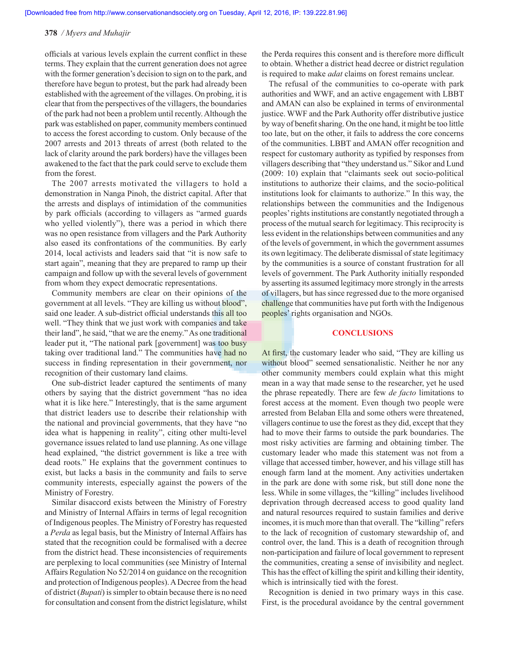officials at various levels explain the current conflict in these terms. They explain that the current generation does not agree with the former generation's decision to sign on to the park, and therefore have begun to protest, but the park had already been established with the agreement of the villages. On probing, it is clear that from the perspectives of the villagers, the boundaries of the park had not been a problem until recently. Although the park was established on paper, community members continued to access the forest according to custom. Only because of the 2007 arrests and 2013 threats of arrest (both related to the lack of clarity around the park borders) have the villages been awakened to the fact that the park could serve to exclude them from the forest.

The 2007 arrests motivated the villagers to hold a demonstration in Nanga Pinoh, the district capital. After that the arrests and displays of intimidation of the communities by park officials (according to villagers as "armed guards who yelled violently"), there was a period in which there was no open resistance from villagers and the Park Authority also eased its confrontations of the communities. By early 2014, local activists and leaders said that "it is now safe to start again", meaning that they are prepared to ramp up their campaign and follow up with the several levels of government from whom they expect democratic representations.

Community members are clear on their opinions of the government at all levels. "They are killing us without blood", said one leader. A sub-district official understands this all too well. "They think that we just work with companies and take their land", he said, "that we are the enemy." As one traditional leader put it, "The national park [government] was too busy taking over traditional land." The communities have had no success in finding representation in their government, nor recognition of their customary land claims.

One sub-district leader captured the sentiments of many others by saying that the district government "has no idea what it is like here." Interestingly, that is the same argument that district leaders use to describe their relationship with the national and provincial governments, that they have "no idea what is happening in reality", citing other multi-level governance issues related to land use planning. As one village head explained, "the district government is like a tree with dead roots." He explains that the government continues to exist, but lacks a basis in the community and fails to serve community interests, especially against the powers of the Ministry of Forestry.

Similar disaccord exists between the Ministry of Forestry and Ministry of Internal Affairs in terms of legal recognition of Indigenous peoples. The Ministry of Forestry has requested a *Perda* as legal basis, but the Ministry of Internal Affairs has stated that the recognition could be formalised with a decree from the district head. These inconsistencies of requirements are perplexing to local communities (see Ministry of Internal Affairs Regulation No 52/2014 on guidance on the recognition and protection of Indigenous peoples). A Decree from the head of district (*Bupati*) is simpler to obtain because there is no need for consultation and consent from the district legislature, whilst the Perda requires this consent and is therefore more difficult to obtain. Whether a district head decree or district regulation is required to make *adat* claims on forest remains unclear.

The refusal of the communities to co-operate with park authorities and WWF, and an active engagement with LBBT and AMAN can also be explained in terms of environmental justice. WWF and the Park Authority offer distributive justice by way of benefit sharing. On the one hand, it might be too little too late, but on the other, it fails to address the core concerns of the communities. LBBT and AMAN offer recognition and respect for customary authority as typified by responses from villagers describing that "they understand us." Sikor and Lund (2009: 10) explain that "claimants seek out socio-political institutions to authorize their claims, and the socio-political institutions look for claimants to authorize." In this way, the relationships between the communities and the Indigenous peoples' rights institutions are constantly negotiated through a process of the mutual search for legitimacy. This reciprocity is less evident in the relationships between communities and any of the levels of government, in which the government assumes its own legitimacy. The deliberate dismissal of state legitimacy by the communities is a source of constant frustration for all levels of government. The Park Authority initially responded by asserting its assumed legitimacy more strongly in the arrests of villagers, but has since regressed due to the more organised challenge that communities have put forth with the Indigenous peoples' rights organisation and NGOs.

## **CONCLUSIONS**

At first, the customary leader who said, "They are killing us without blood" seemed sensationalistic. Neither he nor any other community members could explain what this might mean in a way that made sense to the researcher, yet he used the phrase repeatedly. There are few *de facto* limitations to forest access at the moment. Even though two people were arrested from Belaban Ella and some others were threatened, villagers continue to use the forest as they did, except that they had to move their farms to outside the park boundaries. The most risky activities are farming and obtaining timber. The customary leader who made this statement was not from a village that accessed timber, however, and his village still has enough farm land at the moment. Any activities undertaken in the park are done with some risk, but still done none the less. While in some villages, the "killing" includes livelihood deprivation through decreased access to good quality land and natural resources required to sustain families and derive incomes, it is much more than that overall. The "killing" refers to the lack of recognition of customary stewardship of, and control over, the land. This is a death of recognition through non-participation and failure of local government to represent the communities, creating a sense of invisibility and neglect. This has the effect of killing the spirit and killing their identity, which is intrinsically tied with the forest.

Recognition is denied in two primary ways in this case. First, is the procedural avoidance by the central government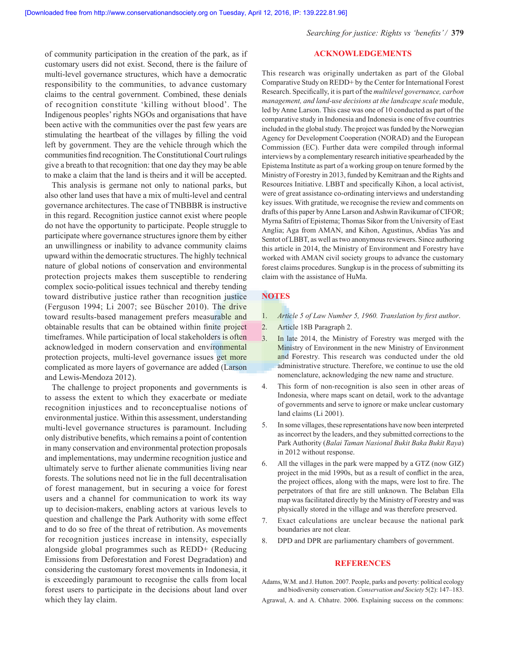*Searching for justice: Rights vs 'benefits' /* **379**

# of community participation in the creation of the park, as if customary users did not exist. Second, there is the failure of multi-level governance structures, which have a democratic responsibility to the communities, to advance customary claims to the central government. Combined, these denials of recognition constitute 'killing without blood'. The Indigenous peoples' rights NGOs and organisations that have been active with the communities over the past few years are stimulating the heartbeat of the villages by filling the void left by government. They are the vehicle through which the communities find recognition. The Constitutional Court rulings give a breath to that recognition: that one day they may be able to make a claim that the land is theirs and it will be accepted.

This analysis is germane not only to national parks, but also other land uses that have a mix of multi-level and central governance architectures. The case of TNBBBR is instructive in this regard. Recognition justice cannot exist where people do not have the opportunity to participate. People struggle to participate where governance structures ignore them by either an unwillingness or inability to advance community claims upward within the democratic structures. The highly technical nature of global notions of conservation and environmental protection projects makes them susceptible to rendering complex socio-political issues technical and thereby tending toward distributive justice rather than recognition justice (Ferguson 1994; Li 2007; see Büscher 2010). The drive toward results-based management prefers measurable and obtainable results that can be obtained within finite project timeframes. While participation of local stakeholders is often acknowledged in modern conservation and environmental protection projects, multi-level governance issues get more complicated as more layers of governance are added (Larson and Lewis-Mendoza 2012).

The challenge to project proponents and governments is to assess the extent to which they exacerbate or mediate recognition injustices and to reconceptualise notions of environmental justice. Within this assessment, understanding multi-level governance structures is paramount. Including only distributive benefits, which remains a point of contention in many conservation and environmental protection proposals and implementations, may undermine recognition justice and ultimately serve to further alienate communities living near forests. The solutions need not lie in the full decentralisation of forest management, but in securing a voice for forest users and a channel for communication to work its way up to decision-makers, enabling actors at various levels to question and challenge the Park Authority with some effect and to do so free of the threat of retribution. As movements for recognition justices increase in intensity, especially alongside global programmes such as REDD+ (Reducing Emissions from Deforestation and Forest Degradation) and considering the customary forest movements in Indonesia, it is exceedingly paramount to recognise the calls from local forest users to participate in the decisions about land over which they lay claim.

## **ACKNOWLEDGEMENTS**

This research was originally undertaken as part of the Global Comparative Study on REDD+ by the Center for International Forest Research. Specifically, it is part of the *multilevel governance, carbon management, and land-use decisions at the landscape scale module,* led by Anne Larson. This case was one of 10 conducted as part of the comparative study in Indonesia and Indonesia is one of five countries included in the global study. The project was funded by the Norwegian Agency for Development Cooperation (NORAD) and the European Commission (EC). Further data were compiled through informal interviews by a complementary research initiative spearheaded by the Epistema Institute as part of a working group on tenure formed by the Ministry of Forestry in 2013, funded by Kemitraan and the Rights and Resources Initiative. LBBT and specifically Kihon, a local activist, were of great assistance co-ordinating interviews and understanding key issues. With gratitude, we recognise the review and comments on drafts of this paper by Anne Larson and Ashwin Ravikumar of CIFOR; Myrna Safitri of Epistema; Thomas Sikor from the University of East Anglia; Aga from AMAN, and Kihon, Agustinus, Abdias Yas and Sentot of LBBT, as well as two anonymous reviewers. Since authoring this article in 2014, the Ministry of Environment and Forestry have worked with AMAN civil society groups to advance the customary forest claims procedures. Sungkup is in the process of submitting its claim with the assistance of HuMa.

# **NOTES**

- 1. *Article 5 of Law Number 5, 1960. Translation by first author*.
- 2. Article 18B Paragraph 2.
- 3. In late 2014, the Ministry of Forestry was merged with the Ministry of Environment in the new Ministry of Environment and Forestry. This research was conducted under the old administrative structure. Therefore, we continue to use the old nomenclature, acknowledging the new name and structure.
- 4. This form of non-recognition is also seen in other areas of Indonesia, where maps scant on detail, work to the advantage of governments and serve to ignore or make unclear customary land claims (Li 2001).
- 5. In some villages, these representations have now been interpreted as incorrect by the leaders, and they submitted corrections to the Park Authority (*Balai Taman Nasional Bukit Baka Bukit Raya*) in 2012 without response.
- 6. All the villages in the park were mapped by a GTZ (now GIZ) project in the mid 1990s, but as a result of conflict in the area, the project offices, along with the maps, were lost to fire. The perpetrators of that fire are still unknown. The Belaban Ella map was facilitated directly by the Ministry of Forestry and was physically stored in the village and was therefore preserved.
- 7. Exact calculations are unclear because the national park boundaries are not clear.
- 8. DPD and DPR are parliamentary chambers of government.

#### **REFERENCES**

Adams, W.M. and J. Hutton. 2007. People, parks and poverty: political ecology and biodiversity conservation. *Conservation and Society* 5(2): 147–183.

Agrawal, A. and A. Chhatre. 2006. Explaining success on the commons: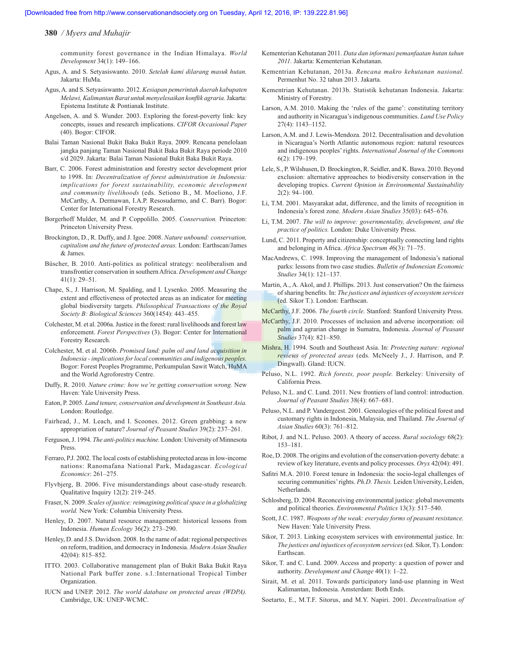community forest governance in the Indian Himalaya. *World Development* 34(1): 149–166.

- Agus, A. and S. Setyasiswanto. 2010. *Setelah kami dilarang masuk hutan.*  Jakarta: HuMa.
- Agus, A. and S. Setyasiswanto. 2012. *Kesiapan pemerintah daerah kabupaten Melawi, Kalimantan Barat untuk menyelesaikan konflik agraria.* Jakarta: Epistema Institute & Pontianak Institute.
- Angelsen, A. and S. Wunder. 2003. Exploring the forest-poverty link: key concepts, issues and research implications. *CIFOR Occasional Paper*  (40). Bogor: CIFOR.
- Balai Taman Nasional Bukit Baka Bukit Raya. 2009. Rencana penelolaan jangka panjang Taman Nasional Bukit Baka Bukit Raya periode 2010 s/d 2029. Jakarta: Balai Taman Nasional Bukit Baka Bukit Raya.
- Barr, C. 2006. Forest administration and forestry sector development prior to 1998. In: *Decentralization of forest administration in Indonesia: implications for forest sustainability, economic development and community livelihoods* (eds. Setiono B., M. Moeliono, J.F. McCarthy, A. Dermawan, I.A.P. Resosudarmo, and C. Barr). Bogor: Center for International Forestry Research.
- Borgerhoff Mulder, M. and P. Coppolillo. 2005. *Conservation.* Princeton: Princeton University Press.
- Brockington, D., R. Duffy, and J. Igoe. 2008. *Nature unbound: conservation, capitalism and the future of protected areas.* London: Earthscan/James & James.
- Büscher, B. 2010. Anti-politics as political strategy: neoliberalism and transfrontier conservation in southern Africa. *Development and Change*  41(1): 29–51.
- Chape, S., J. Harrison, M. Spalding, and I. Lysenko. 2005. Measuring the extent and effectiveness of protected areas as an indicator for meeting global biodiversity targets. *Philosophical Transactions of the Royal Society B: Biological Sciences* 360(1454): 443–455.
- Colchester, M. et al. 2006a. Justice in the forest: rural livelihoods and forest law enforcement. *Forest Perspectives* (3). Bogor: Center for International Forestry Research.
- Colchester, M. et al. 2006b. *Promised land: palm oil and land acquisition in Indonesia - implications for local communities and indigenous peoples.*  Bogor: Forest Peoples Programme, Perkumpulan Sawit Watch, HuMA and the World Agroforestry Centre.
- Duffy, R. 2010. *Nature crime: how we're getting conservation wrong.* New Haven: Yale University Press.
- Eaton, P. 2005. *Land tenure, conservation and development in Southeast Asia.*  London: Routledge.
- Fairhead, J., M. Leach, and I. Scoones. 2012. Green grabbing: a new appropriation of nature? *Journal of Peasant Studies* 39(2): 237–261.
- Ferguson, J. 1994. *The anti-politics machine.* London: University of Minnesota Press.
- Ferraro, P.J. 2002. The local costs of establishing protected areas in low-income nations: Ranomafana National Park, Madagascar. *Ecological Economics*: 261–275.
- Flyvbjerg, B. 2006. Five misunderstandings about case-study research. Qualitative Inquiry 12(2): 219–245.
- Fraser, N. 2009. *Scales of justice: reimagining political space in a globalizing world.* New York: Columbia University Press.
- Henley, D. 2007. Natural resource management: historical lessons from Indonesia. *Human Ecology* 36(2): 273–290.
- Henley, D. and J.S. Davidson. 2008. In the name of adat: regional perspectives on reform, tradition, and democracy in Indonesia. *Modern Asian Studies*  42(04): 815–852.
- ITTO. 2003. Collaborative management plan of Bukit Baka Bukit Raya National Park buffer zone. s.l.:International Tropical Timber Organization.
- IUCN and UNEP. 2012. *The world database on protected areas (WDPA).*  Cambridge, UK: UNEP-WCMC.
- Kementerian Kehutanan 2011. *Data dan informasi pemanfaatan hutan tahun 2011.* Jakarta: Kementerian Kehutanan.
- Kementrian Kehutanan, 2013a. *Rencana makro kehutanan nasional.*  Permenhut No. 32 tahun 2013. Jakarta.
- Kementrian Kehutanan. 2013b. Statistik kehutanan Indonesia. Jakarta: Ministry of Forestry.
- Larson, A.M. 2010. Making the 'rules of the game': constituting territory and authority in Nicaragua's indigenous communities. *Land Use Policy*  27(4): 1143–1152.
- Larson, A.M. and J. Lewis-Mendoza. 2012. Decentralisation and devolution in Nicaragua's North Atlantic autonomous region: natural resources and indigenous peoples' rights. *International Journal of the Commons*  6(2): 179–199.
- Lele, S., P. Wilshusen, D. Brockington, R. Seidler, and K. Bawa. 2010. Beyond exclusion: alternative approaches to biodiversity conservation in the developing tropics. *Current Opinion in Environmental Sustainability*  2(2): 94–100.
- Li, T.M. 2001. Masyarakat adat, difference, and the limits of recognition in Indonesia's forest zone. *Modern Asian Studies* 35(03): 645–676.
- Li, T.M. 2007. *The will to improve: governmentality, development, and the practice of politics.* London: Duke University Press.
- Lund, C. 2011. Property and citizenship: conceptually connecting land rights and belonging in Africa. *Africa Spectrum 4*6(3): 71–75.
- MacAndrews, C. 1998. Improving the management of Indonesia's national parks: lessons from two case studies. *Bulletin of Indonesian Economic Studies* 34(1): 121–137.
- Martin, A., A. Akol, and J. Phillips. 2013. Just conservation? On the fairness of sharing benefits. In: *The justices and injustices of ecosystem services*  (ed. Sikor T.). London: Earthscan.
- McCarthy, J.F. 2006. *The fourth circle.* Stanford: Stanford University Press.
- McCarthy, J.F. 2010. Processes of inclusion and adverse incorporation: oil palm and agrarian change in Sumatra, Indonesia. *Journal of Peasant Studies* 37(4): 821–850.
- Mishra, H. 1994. South and Southeast Asia. In: *Protecting nature: regional reviews of protected areas* (eds. McNeely J., J. Harrison, and P. Dingwall). Gland: IUCN.
- Peluso, N.L. 1992. *Rich forests, poor people.* Berkeley: University of California Press.
- Peluso, N.L. and C. Lund. 2011. New frontiers of land control: introduction. *Journal of Peasant Studies* 38(4): 667–681.
- Peluso, N.L. and P. Vandergeest. 2001. Genealogies of the political forest and customary rights in Indonesia, Malaysia, and Thailand. *The Journal of Asian Studies* 60(3): 761–812.
- Ribot, J. and N.L. Peluso. 2003. A theory of access. *Rural sociology* 68(2): 153–181.
- Roe, D. 2008. The origins and evolution of the conservation-poverty debate: a review of key literature, events and policy processes. *Oryx* 42(04): 491.
- Safitri M.A. 2010. Forest tenure in Indonesia: the socio-legal challenges of securing communities' rights. *Ph.D. Thesis.* Leiden University, Leiden, Netherlands.
- Schlosberg, D. 2004. Reconceiving environmental justice: global movements and political theories. *Environmental Politics* 13(3): 517–540.
- Scott, J.C. 1987. *Weapons of the weak: everyday forms of peasant resistance.*  New Haven: Yale University Press.
- Sikor, T. 2013. Linking ecosystem services with environmental justice. In: *The justices and injustices of ecosystem services* (ed. Sikor, T). London: Earthscan.
- Sikor, T. and C. Lund. 2009. Access and property: a question of power and authority. *Development and Change* 40(1): 1–22.
- Sirait, M. et al. 2011. Towards participatory land-use planning in West Kalimantan, Indonesia. Amsterdam: Both Ends.
- Soetarto, E., M.T.F. Sitorus, and M.Y. Napiri. 2001. *Decentralisation of*